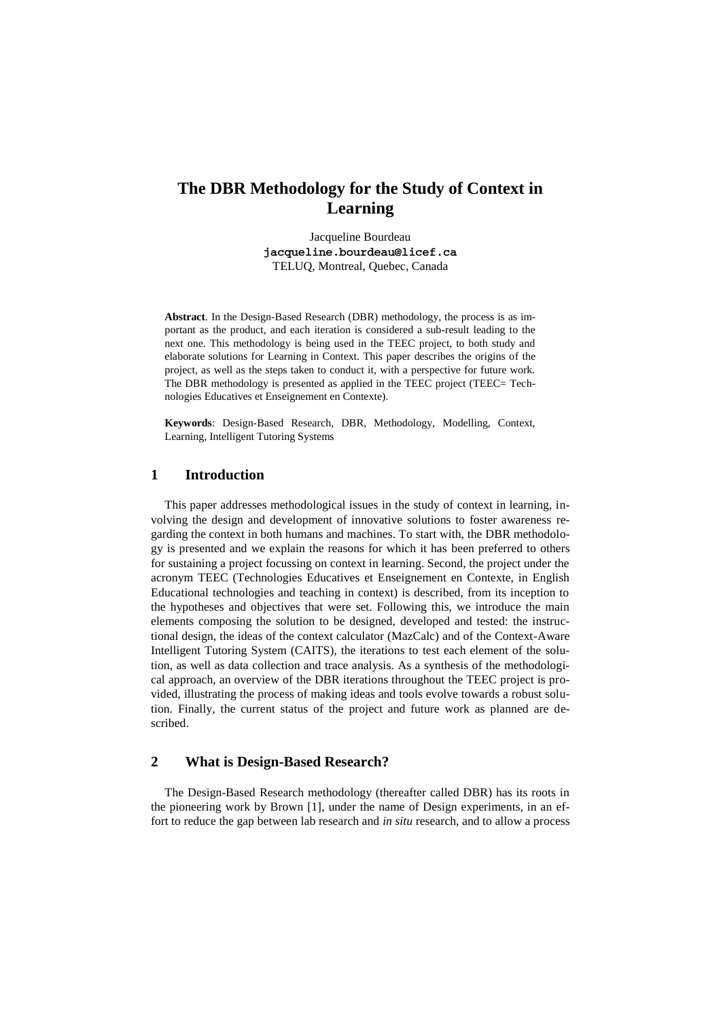# **The DBR Methodology for the Study of Context in Learning**

Jacqueline Bourdeau [jacqueline.bourdeau@licef.ca](mailto:jacqueline.bourdeau@licef.ca) TELUQ, Montreal, Quebec, Canada

**Abstract**. In the Design-Based Research (DBR) methodology, the process is as important as the product, and each iteration is considered a sub-result leading to the next one. This methodology is being used in the TEEC project, to both study and elaborate solutions for Learning in Context. This paper describes the origins of the project, as well as the steps taken to conduct it, with a perspective for future work. The DBR methodology is presented as applied in the TEEC project (TEEC= Technologies Educatives et Enseignement en Contexte).

**Keywords**: Design-Based Research, DBR, Methodology, Modelling, Context, Learning, Intelligent Tutoring Systems

## **1 Introduction**

This paper addresses methodological issues in the study of context in learning, involving the design and development of innovative solutions to foster awareness regarding the context in both humans and machines. To start with, the DBR methodology is presented and we explain the reasons for which it has been preferred to others for sustaining a project focussing on context in learning. Second, the project under the acronym TEEC (Technologies Educatives et Enseignement en Contexte, in English Educational technologies and teaching in context) is described, from its inception to the hypotheses and objectives that were set. Following this, we introduce the main elements composing the solution to be designed, developed and tested: the instructional design, the ideas of the context calculator (MazCalc) and of the Context-Aware Intelligent Tutoring System (CAITS), the iterations to test each element of the solution, as well as data collection and trace analysis. As a synthesis of the methodological approach, an overview of the DBR iterations throughout the TEEC project is provided, illustrating the process of making ideas and tools evolve towards a robust solution. Finally, the current status of the project and future work as planned are described.

## **2 What is Design-Based Research?**

The Design-Based Research methodology (thereafter called DBR) has its roots in the pioneering work by Brown [1], under the name of Design experiments, in an effort to reduce the gap between lab research and *in situ* research, and to allow a process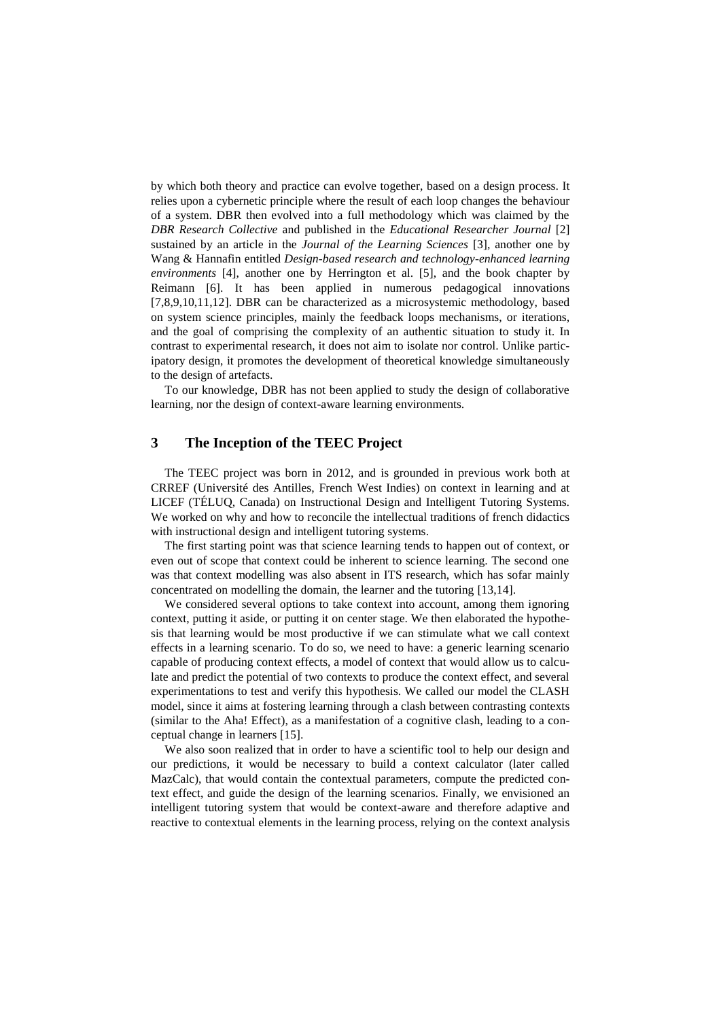by which both theory and practice can evolve together, based on a design process. It relies upon a cybernetic principle where the result of each loop changes the behaviour of a system. DBR then evolved into a full methodology which was claimed by the *DBR Research Collective* and published in the *Educational Researcher Journal* [2] sustained by an article in the *Journal of the Learning Sciences* [3], another one by Wang & Hannafin entitled *Design-based research and technology-enhanced learning environments* [4], another one by Herrington et al. [5], and the book chapter by Reimann [6]. It has been applied in numerous pedagogical innovations [7,8,9,10,11,12]. DBR can be characterized as a microsystemic methodology, based on system science principles, mainly the feedback loops mechanisms, or iterations, and the goal of comprising the complexity of an authentic situation to study it. In contrast to experimental research, it does not aim to isolate nor control. Unlike participatory design, it promotes the development of theoretical knowledge simultaneously to the design of artefacts.

To our knowledge, DBR has not been applied to study the design of collaborative learning, nor the design of context-aware learning environments.

## **3 The Inception of the TEEC Project**

The TEEC project was born in 2012, and is grounded in previous work both at CRREF (Université des Antilles, French West Indies) on context in learning and at LICEF (TÉLUQ, Canada) on Instructional Design and Intelligent Tutoring Systems. We worked on why and how to reconcile the intellectual traditions of french didactics with instructional design and intelligent tutoring systems.

The first starting point was that science learning tends to happen out of context, or even out of scope that context could be inherent to science learning. The second one was that context modelling was also absent in ITS research, which has sofar mainly concentrated on modelling the domain, the learner and the tutoring [13,14].

We considered several options to take context into account, among them ignoring context, putting it aside, or putting it on center stage. We then elaborated the hypothesis that learning would be most productive if we can stimulate what we call context effects in a learning scenario. To do so, we need to have: a generic learning scenario capable of producing context effects, a model of context that would allow us to calculate and predict the potential of two contexts to produce the context effect, and several experimentations to test and verify this hypothesis. We called our model the CLASH model, since it aims at fostering learning through a clash between contrasting contexts (similar to the Aha! Effect), as a manifestation of a cognitive clash, leading to a conceptual change in learners [15].

We also soon realized that in order to have a scientific tool to help our design and our predictions, it would be necessary to build a context calculator (later called MazCalc), that would contain the contextual parameters, compute the predicted context effect, and guide the design of the learning scenarios. Finally, we envisioned an intelligent tutoring system that would be context-aware and therefore adaptive and reactive to contextual elements in the learning process, relying on the context analysis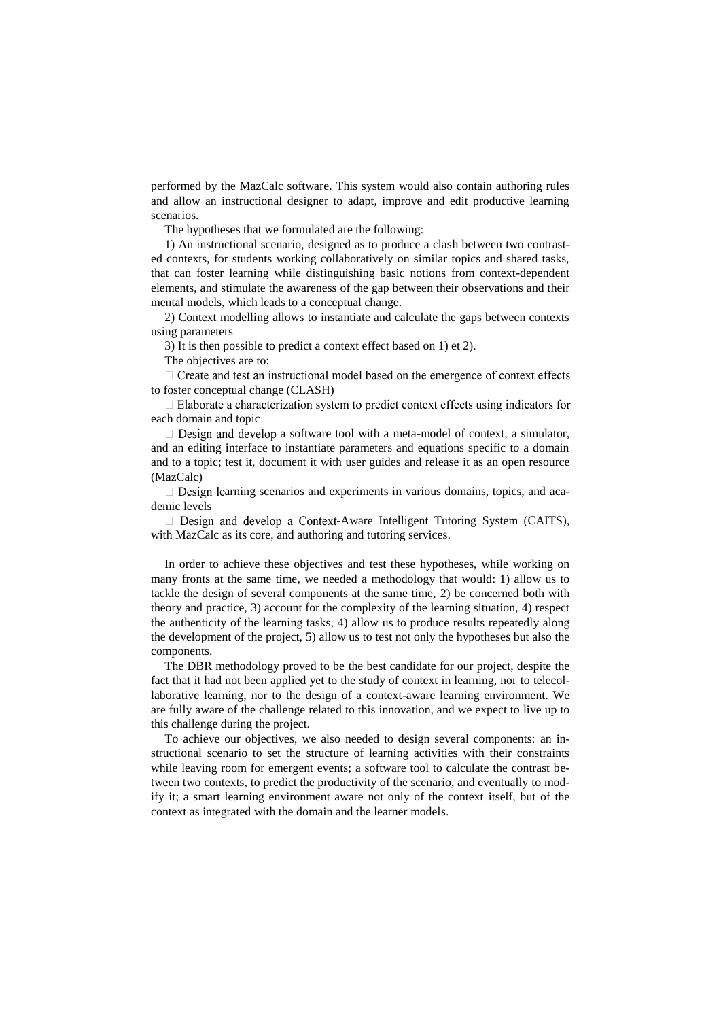performed by the MazCalc software. This system would also contain authoring rules and allow an instructional designer to adapt, improve and edit productive learning scenarios.

The hypotheses that we formulated are the following:

1) An instructional scenario, designed as to produce a clash between two contrasted contexts, for students working collaboratively on similar topics and shared tasks, that can foster learning while distinguishing basic notions from context-dependent elements, and stimulate the awareness of the gap between their observations and their mental models, which leads to a conceptual change.

2) Context modelling allows to instantiate and calculate the gaps between contexts using parameters

3) It is then possible to predict a context effect based on 1) et 2).

The objectives are to:

 $\Box$  Create and test an instructional model based on the emergence of context effects to foster conceptual change (CLASH)

 $\Box$  Elaborate a characterization system to predict context effects using indicators for each domain and topic

 $\Box$  Design and develop a software tool with a meta-model of context, a simulator, and an editing interface to instantiate parameters and equations specific to a domain and to a topic; test it, document it with user guides and release it as an open resource (MazCalc)

 $\Box$  Design learning scenarios and experiments in various domains, topics, and academic levels

 $\Box$  Design and develop a Context-Aware Intelligent Tutoring System (CAITS), with MazCalc as its core, and authoring and tutoring services.

In order to achieve these objectives and test these hypotheses, while working on many fronts at the same time, we needed a methodology that would: 1) allow us to tackle the design of several components at the same time, 2) be concerned both with theory and practice, 3) account for the complexity of the learning situation, 4) respect the authenticity of the learning tasks, 4) allow us to produce results repeatedly along the development of the project, 5) allow us to test not only the hypotheses but also the components.

The DBR methodology proved to be the best candidate for our project, despite the fact that it had not been applied yet to the study of context in learning, nor to telecollaborative learning, nor to the design of a context-aware learning environment. We are fully aware of the challenge related to this innovation, and we expect to live up to this challenge during the project.

To achieve our objectives, we also needed to design several components: an instructional scenario to set the structure of learning activities with their constraints while leaving room for emergent events; a software tool to calculate the contrast between two contexts, to predict the productivity of the scenario, and eventually to modify it; a smart learning environment aware not only of the context itself, but of the context as integrated with the domain and the learner models.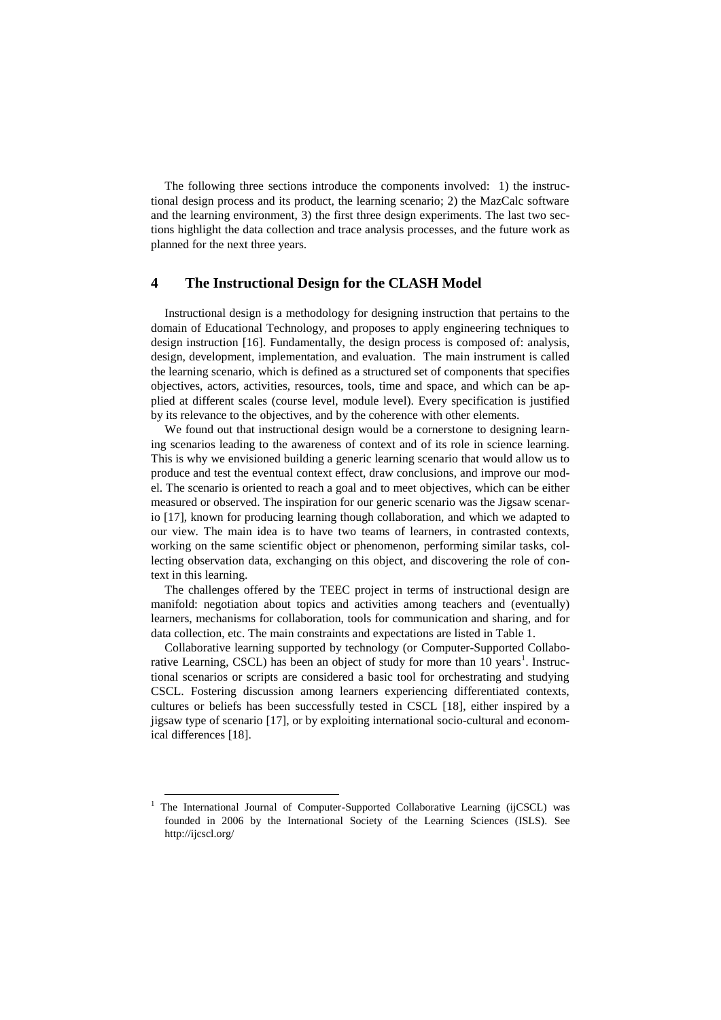The following three sections introduce the components involved: 1) the instructional design process and its product, the learning scenario; 2) the MazCalc software and the learning environment, 3) the first three design experiments. The last two sections highlight the data collection and trace analysis processes, and the future work as planned for the next three years.

## **4 The Instructional Design for the CLASH Model**

Instructional design is a methodology for designing instruction that pertains to the domain of Educational Technology, and proposes to apply engineering techniques to design instruction [16]. Fundamentally, the design process is composed of: analysis, design, development, implementation, and evaluation. The main instrument is called the learning scenario, which is defined as a structured set of components that specifies objectives, actors, activities, resources, tools, time and space, and which can be applied at different scales (course level, module level). Every specification is justified by its relevance to the objectives, and by the coherence with other elements.

We found out that instructional design would be a cornerstone to designing learning scenarios leading to the awareness of context and of its role in science learning. This is why we envisioned building a generic learning scenario that would allow us to produce and test the eventual context effect, draw conclusions, and improve our model. The scenario is oriented to reach a goal and to meet objectives, which can be either measured or observed. The inspiration for our generic scenario was the Jigsaw scenario [17], known for producing learning though collaboration, and which we adapted to our view. The main idea is to have two teams of learners, in contrasted contexts, working on the same scientific object or phenomenon, performing similar tasks, collecting observation data, exchanging on this object, and discovering the role of context in this learning.

The challenges offered by the TEEC project in terms of instructional design are manifold: negotiation about topics and activities among teachers and (eventually) learners, mechanisms for collaboration, tools for communication and sharing, and for data collection, etc. The main constraints and expectations are listed in Table 1.

Collaborative learning supported by technology (or Computer-Supported Collaborative Learning, CSCL) has been an object of study for more than 10 years<sup>1</sup>. Instructional scenarios or scripts are considered a basic tool for orchestrating and studying CSCL. Fostering discussion among learners experiencing differentiated contexts, cultures or beliefs has been successfully tested in CSCL [18], either inspired by a jigsaw type of scenario [17], or by exploiting international socio-cultural and economical differences [18].

-

<sup>&</sup>lt;sup>1</sup> The International Journal of Computer-Supported Collaborative Learning (ijCSCL) was founded in 2006 by the International Society of the Learning Sciences (ISLS). See http://ijcscl.org/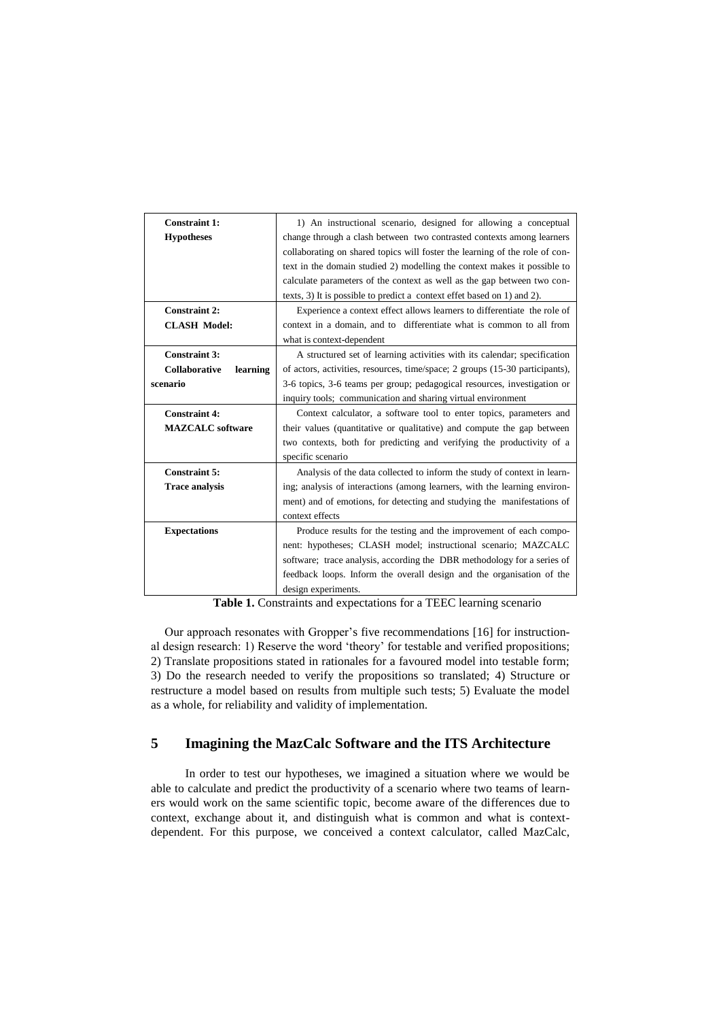| <b>Constraint 1:</b>             | 1) An instructional scenario, designed for allowing a conceptual             |
|----------------------------------|------------------------------------------------------------------------------|
| <b>Hypotheses</b>                | change through a clash between two contrasted contexts among learners        |
|                                  | collaborating on shared topics will foster the learning of the role of con-  |
|                                  | text in the domain studied 2) modelling the context makes it possible to     |
|                                  | calculate parameters of the context as well as the gap between two con-      |
|                                  | texts, 3) It is possible to predict a context effet based on 1) and 2).      |
| <b>Constraint 2:</b>             | Experience a context effect allows learners to differentiate the role of     |
| <b>CLASH Model:</b>              | context in a domain, and to differentiate what is common to all from         |
|                                  | what is context-dependent                                                    |
| <b>Constraint 3:</b>             | A structured set of learning activities with its calendar; specification     |
| <b>Collaborative</b><br>learning | of actors, activities, resources, time/space; 2 groups (15-30 participants), |
| scenario                         | 3-6 topics, 3-6 teams per group; pedagogical resources, investigation or     |
|                                  |                                                                              |
|                                  | inquiry tools; communication and sharing virtual environment                 |
| <b>Constraint 4:</b>             | Context calculator, a software tool to enter topics, parameters and          |
| <b>MAZCALC</b> software          | their values (quantitative or qualitative) and compute the gap between       |
|                                  | two contexts, both for predicting and verifying the productivity of a        |
|                                  | specific scenario                                                            |
| <b>Constraint 5:</b>             | Analysis of the data collected to inform the study of context in learn-      |
| <b>Trace analysis</b>            | ing; analysis of interactions (among learners, with the learning environ-    |
|                                  | ment) and of emotions, for detecting and studying the manifestations of      |
|                                  | context effects                                                              |
| <b>Expectations</b>              | Produce results for the testing and the improvement of each compo-           |
|                                  | nent: hypotheses; CLASH model; instructional scenario; MAZCALC               |
|                                  | software; trace analysis, according the DBR methodology for a series of      |
|                                  | feedback loops. Inform the overall design and the organisation of the        |

**Table 1.** Constraints and expectations for a TEEC learning scenario

Our approach resonates with Gropper's five recommendations [16] for instructional design research: 1) Reserve the word 'theory' for testable and verified propositions; 2) Translate propositions stated in rationales for a favoured model into testable form; 3) Do the research needed to verify the propositions so translated; 4) Structure or restructure a model based on results from multiple such tests; 5) Evaluate the model as a whole, for reliability and validity of implementation.

## **5 Imagining the MazCalc Software and the ITS Architecture**

In order to test our hypotheses, we imagined a situation where we would be able to calculate and predict the productivity of a scenario where two teams of learners would work on the same scientific topic, become aware of the differences due to context, exchange about it, and distinguish what is common and what is contextdependent. For this purpose, we conceived a context calculator, called MazCalc,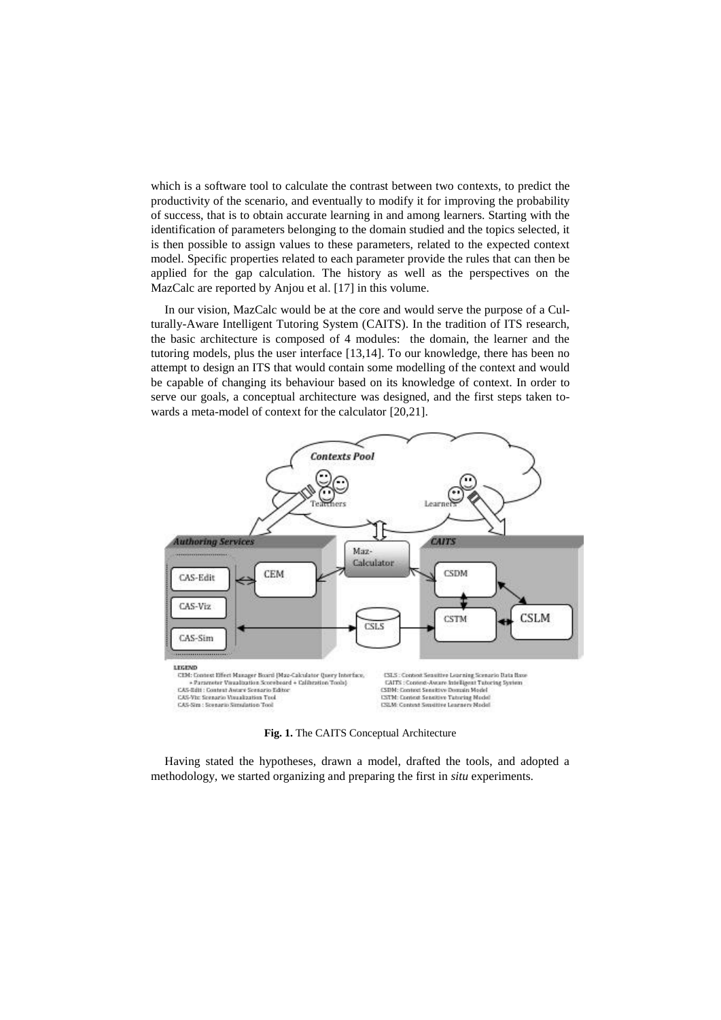which is a software tool to calculate the contrast between two contexts, to predict the productivity of the scenario, and eventually to modify it for improving the probability of success, that is to obtain accurate learning in and among learners. Starting with the identification of parameters belonging to the domain studied and the topics selected, it is then possible to assign values to these parameters, related to the expected context model. Specific properties related to each parameter provide the rules that can then be applied for the gap calculation. The history as well as the perspectives on the MazCalc are reported by Anjou et al. [17] in this volume.

In our vision, MazCalc would be at the core and would serve the purpose of a Culturally-Aware Intelligent Tutoring System (CAITS). In the tradition of ITS research, the basic architecture is composed of 4 modules: the domain, the learner and the tutoring models, plus the user interface [13,14]. To our knowledge, there has been no attempt to design an ITS that would contain some modelling of the context and would be capable of changing its behaviour based on its knowledge of context. In order to serve our goals, a conceptual architecture was designed, and the first steps taken towards a meta-model of context for the calculator [20,21].



**Fig. 1.** The CAITS Conceptual Architecture

Having stated the hypotheses, drawn a model, drafted the tools, and adopted a methodology, we started organizing and preparing the first in *situ* experiments.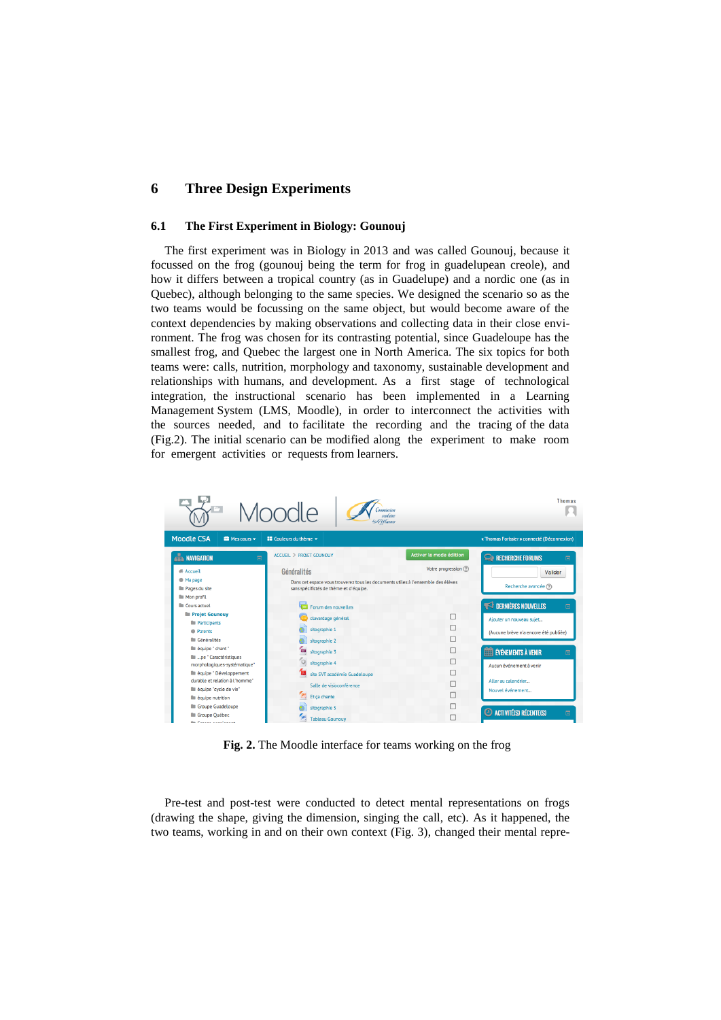## **6 Three Design Experiments**

#### **6.1 The First Experiment in Biology: Gounouj**

The first experiment was in Biology in 2013 and was called Gounouj, because it focussed on the frog (gounouj being the term for frog in guadelupean creole), and how it differs between a tropical country (as in Guadelupe) and a nordic one (as in Quebec), although belonging to the same species. We designed the scenario so as the two teams would be focussing on the same object, but would become aware of the context dependencies by making observations and collecting data in their close environment. The frog was chosen for its contrasting potential, since Guadeloupe has the smallest frog, and Quebec the largest one in North America. The six topics for both teams were: calls, nutrition, morphology and taxonomy, sustainable development and relationships with humans, and development. As a first stage of technological integration, the instructional scenario has been implemented in a Learning Management System (LMS, Moodle), in order to interconnect the activities with the sources needed, and to facilitate the recording and the tracing of the data (Fig.2). The initial scenario can be modified along the experiment to make room for emergent activities or requests from learners.



**Fig. 2.** The Moodle interface for teams working on the frog

Pre-test and post-test were conducted to detect mental representations on frogs (drawing the shape, giving the dimension, singing the call, etc). As it happened, the two teams, working in and on their own context (Fig. 3), changed their mental repre-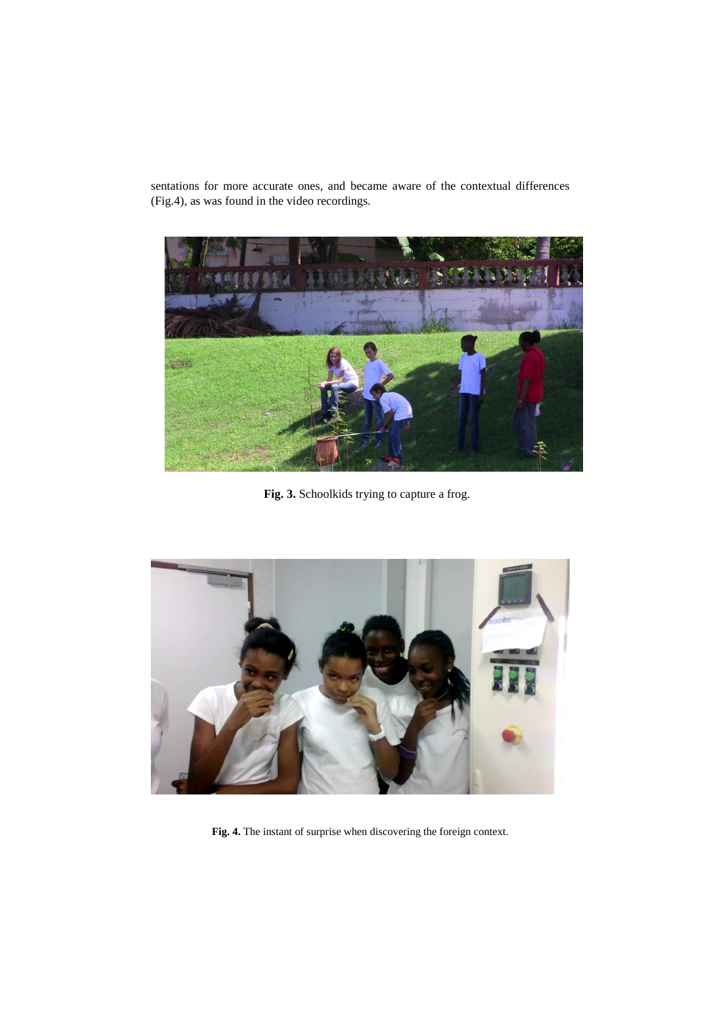sentations for more accurate ones, and became aware of the contextual differences (Fig.4), as was found in the video recordings.



**Fig. 3.** Schoolkids trying to capture a frog.



**Fig. 4.** The instant of surprise when discovering the foreign context.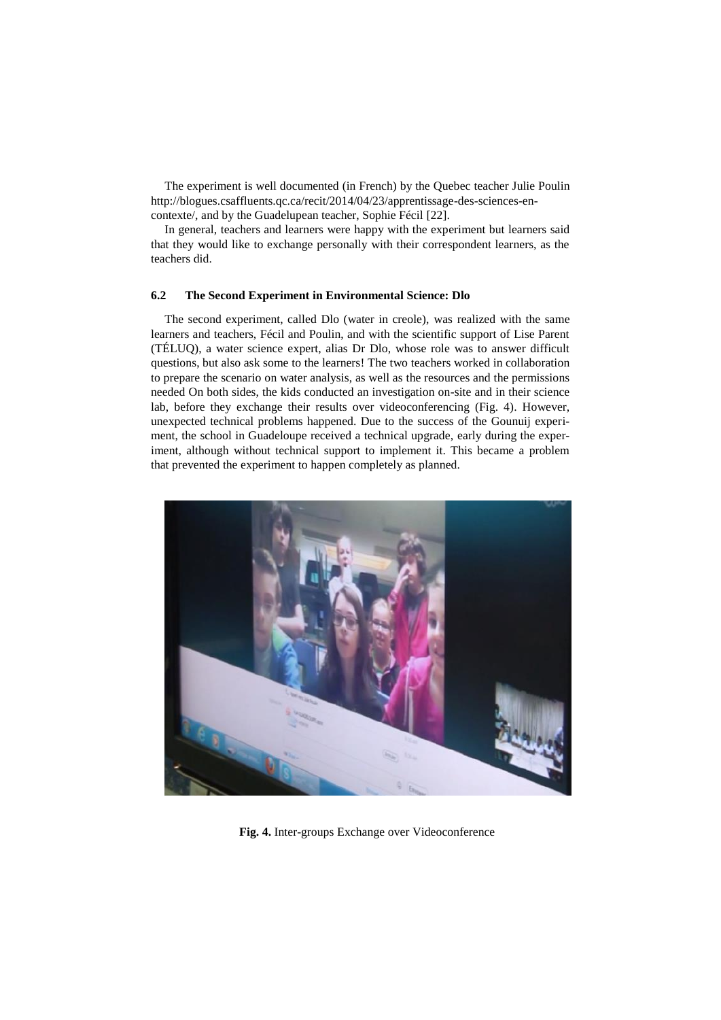The experiment is well documented (in French) by the Quebec teacher Julie Poulin [http://blogues.csaffluents.qc.ca/recit/2014/04/23/apprentissage-des-sciences-en](http://blogues.csaffluents.qc.ca/recit/2014/04/23/apprentissage-des-sciences-en-contexte/)[contexte/,](http://blogues.csaffluents.qc.ca/recit/2014/04/23/apprentissage-des-sciences-en-contexte/) and by the Guadelupean teacher, Sophie Fécil [22].

In general, teachers and learners were happy with the experiment but learners said that they would like to exchange personally with their correspondent learners, as the teachers did.

#### **6.2 The Second Experiment in Environmental Science: Dlo**

The second experiment, called Dlo (water in creole), was realized with the same learners and teachers, Fécil and Poulin, and with the scientific support of Lise Parent (TÉLUQ), a water science expert, alias Dr Dlo, whose role was to answer difficult questions, but also ask some to the learners! The two teachers worked in collaboration to prepare the scenario on water analysis, as well as the resources and the permissions needed On both sides, the kids conducted an investigation on-site and in their science lab, before they exchange their results over videoconferencing (Fig. 4). However, unexpected technical problems happened. Due to the success of the Gounuij experiment, the school in Guadeloupe received a technical upgrade, early during the experiment, although without technical support to implement it. This became a problem that prevented the experiment to happen completely as planned.



**Fig. 4.** Inter-groups Exchange over Videoconference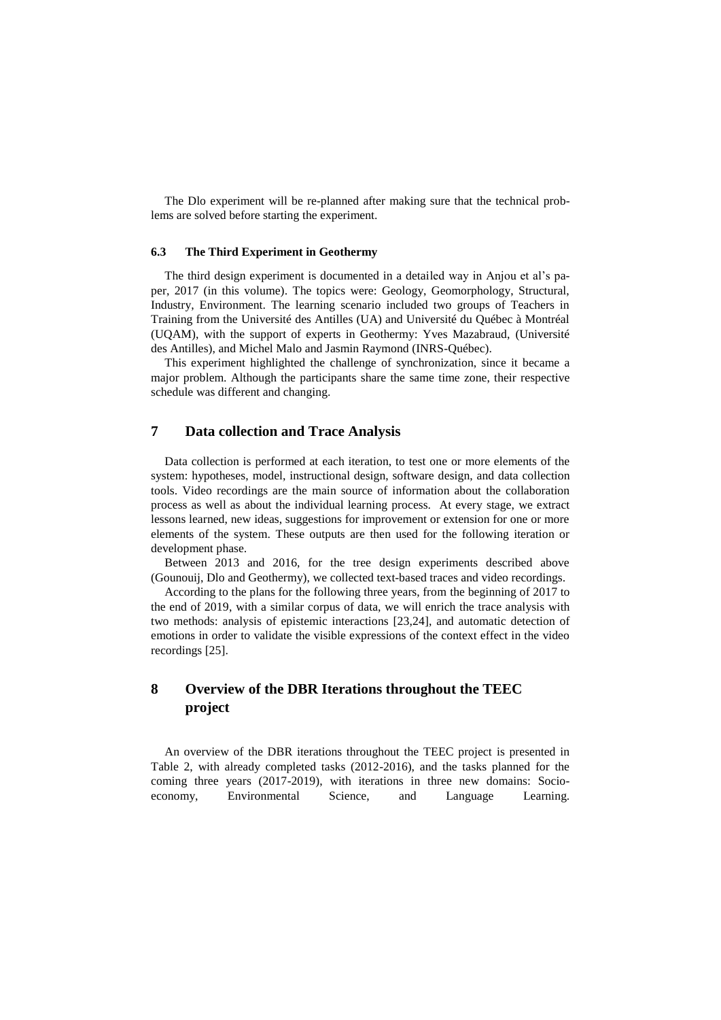The Dlo experiment will be re-planned after making sure that the technical problems are solved before starting the experiment.

### **6.3 The Third Experiment in Geothermy**

The third design experiment is documented in a detailed way in Anjou et al's paper, 2017 (in this volume). The topics were: Geology, Geomorphology, Structural, Industry, Environment. The learning scenario included two groups of Teachers in Training from the Université des Antilles (UA) and Université du Québec à Montréal (UQAM), with the support of experts in Geothermy: Yves Mazabraud, (Université des Antilles), and Michel Malo and Jasmin Raymond (INRS-Québec).

This experiment highlighted the challenge of synchronization, since it became a major problem. Although the participants share the same time zone, their respective schedule was different and changing.

## **7 Data collection and Trace Analysis**

Data collection is performed at each iteration, to test one or more elements of the system: hypotheses, model, instructional design, software design, and data collection tools. Video recordings are the main source of information about the collaboration process as well as about the individual learning process. At every stage, we extract lessons learned, new ideas, suggestions for improvement or extension for one or more elements of the system. These outputs are then used for the following iteration or development phase.

Between 2013 and 2016, for the tree design experiments described above (Gounouij, Dlo and Geothermy), we collected text-based traces and video recordings.

According to the plans for the following three years, from the beginning of 2017 to the end of 2019, with a similar corpus of data, we will enrich the trace analysis with two methods: analysis of epistemic interactions [23,24], and automatic detection of emotions in order to validate the visible expressions of the context effect in the video recordings [25].

# **8 Overview of the DBR Iterations throughout the TEEC project**

An overview of the DBR iterations throughout the TEEC project is presented in Table 2, with already completed tasks (2012-2016), and the tasks planned for the coming three years (2017-2019), with iterations in three new domains: Socioeconomy, Environmental Science, and Language Learning.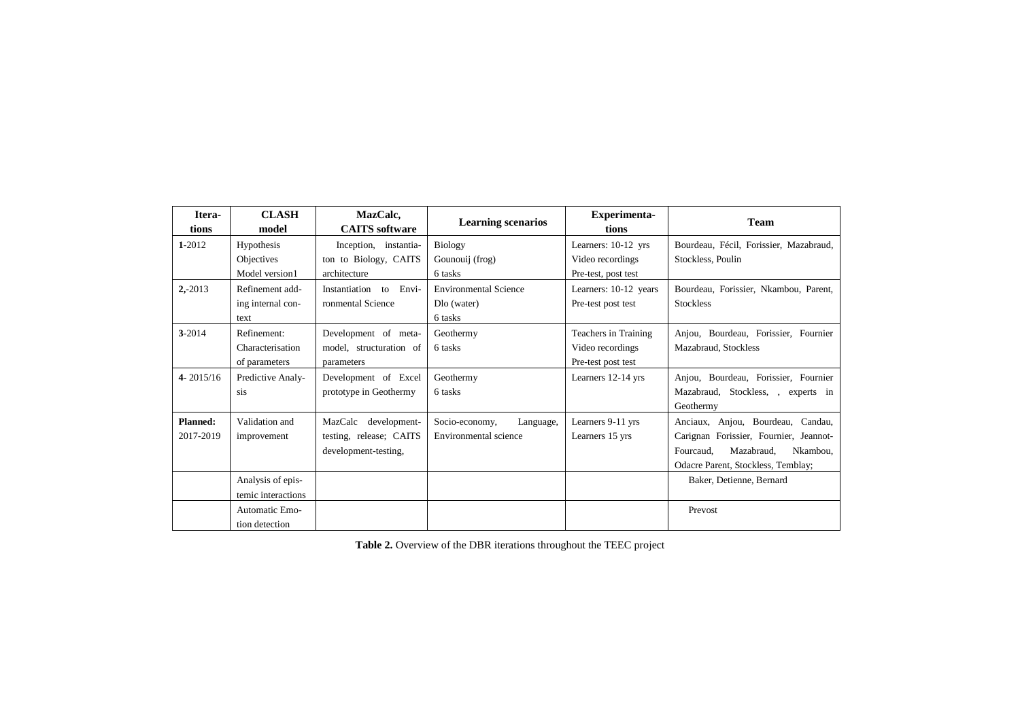| Itera-<br>tions | <b>CLASH</b><br>model | MazCalc,<br><b>CAITS</b> software | <b>Learning scenarios</b>    | Experimenta-<br>tions | <b>Team</b>                            |  |
|-----------------|-----------------------|-----------------------------------|------------------------------|-----------------------|----------------------------------------|--|
| 1-2012          | Hypothesis            | Inception, instantia-             | <b>Biology</b>               | Learners: 10-12 yrs   | Bourdeau, Fécil, Forissier, Mazabraud, |  |
|                 | Objectives            | ton to Biology, CAITS             | Gounouij (frog)              | Video recordings      | Stockless, Poulin                      |  |
|                 | Model version1        | architecture                      | 6 tasks                      | Pre-test, post test   |                                        |  |
| $2, -2013$      | Refinement add-       | Envi-<br>Instantiation to         | <b>Environmental Science</b> | Learners: 10-12 years | Bourdeau, Forissier, Nkambou, Parent,  |  |
|                 | ing internal con-     | ronmental Science                 | Dlo (water)                  | Pre-test post test    | <b>Stockless</b>                       |  |
|                 | text                  |                                   | 6 tasks                      |                       |                                        |  |
| $3 - 2014$      | Refinement:           | Development of meta-              | Geothermy                    | Teachers in Training  | Anjou, Bourdeau, Forissier, Fournier   |  |
|                 | Characterisation      | model, structuration of           | 6 tasks                      | Video recordings      | Mazabraud, Stockless                   |  |
|                 | of parameters         | parameters                        |                              | Pre-test post test    |                                        |  |
| $4 - 2015/16$   | Predictive Analy-     | Development of Excel              | Geothermy                    | Learners 12-14 yrs    | Anjou, Bourdeau, Forissier, Fournier   |  |
|                 | sis                   | prototype in Geothermy            | 6 tasks                      |                       | Mazabraud, Stockless, , experts in     |  |
|                 |                       |                                   |                              |                       | Geothermy                              |  |
| Planned:        | Validation and        | MazCalc<br>development-           | Socio-economy,<br>Language,  | Learners 9-11 yrs     | Anciaux, Anjou, Bourdeau,<br>Candau,   |  |
| 2017-2019       | improvement           | testing, release; CAITS           | Environmental science        | Learners 15 yrs       | Carignan Forissier, Fournier, Jeannot- |  |
|                 |                       | development-testing,              |                              |                       | Nkambou.<br>Fourcaud.<br>Mazabraud.    |  |
|                 |                       |                                   |                              |                       | Odacre Parent, Stockless, Temblay;     |  |
|                 | Analysis of epis-     |                                   |                              |                       | Baker, Detienne, Bernard               |  |
|                 | temic interactions    |                                   |                              |                       |                                        |  |
|                 | Automatic Emo-        |                                   |                              |                       | Prevost                                |  |
|                 | tion detection        |                                   |                              |                       |                                        |  |

|  |  | Table 2. Overview of the DBR iterations throughout the TEEC project |  |  |
|--|--|---------------------------------------------------------------------|--|--|
|  |  |                                                                     |  |  |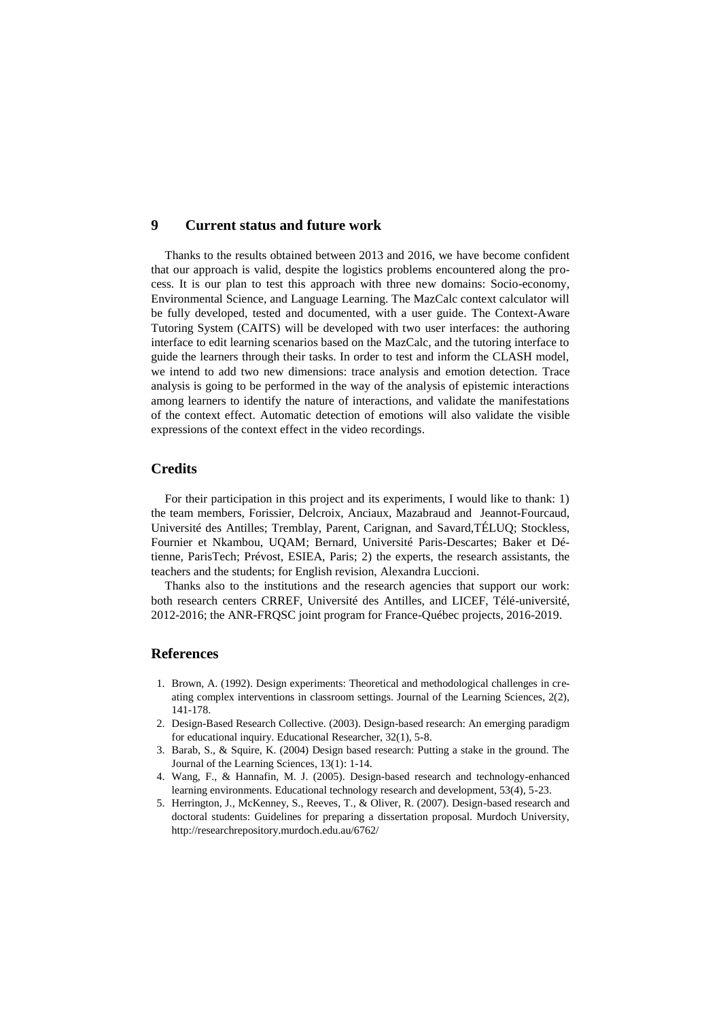### **9 Current status and future work**

Thanks to the results obtained between 2013 and 2016, we have become confident that our approach is valid, despite the logistics problems encountered along the process. It is our plan to test this approach with three new domains: Socio-economy, Environmental Science, and Language Learning. The MazCalc context calculator will be fully developed, tested and documented, with a user guide. The Context-Aware Tutoring System (CAITS) will be developed with two user interfaces: the authoring interface to edit learning scenarios based on the MazCalc, and the tutoring interface to guide the learners through their tasks. In order to test and inform the CLASH model, we intend to add two new dimensions: trace analysis and emotion detection. Trace analysis is going to be performed in the way of the analysis of epistemic interactions among learners to identify the nature of interactions, and validate the manifestations of the context effect. Automatic detection of emotions will also validate the visible expressions of the context effect in the video recordings.

### **Credits**

For their participation in this project and its experiments, I would like to thank: 1) the team members, Forissier, Delcroix, Anciaux, Mazabraud and Jeannot-Fourcaud, Université des Antilles; Tremblay, Parent, Carignan, and Savard,TÉLUQ; Stockless, Fournier et Nkambou, UQAM; Bernard, Université Paris-Descartes; Baker et Détienne, ParisTech; Prévost, ESIEA, Paris; 2) the experts, the research assistants, the teachers and the students; for English revision, Alexandra Luccioni.

Thanks also to the institutions and the research agencies that support our work: both research centers CRREF, Université des Antilles, and LICEF, Télé-université, 2012-2016; the ANR-FRQSC joint program for France-Québec projects, 2016-2019.

### **References**

- 1. Brown, A. (1992). Design experiments: Theoretical and methodological challenges in creating complex interventions in classroom settings. Journal of the Learning Sciences, 2(2), 141-178.
- 2. Design-Based Research Collective. (2003). Design-based research: An emerging paradigm for educational inquiry. Educational Researcher, 32(1), 5-8.
- 3. Barab, S., & Squire, K. (2004) Design based research: Putting a stake in the ground. The Journal of the Learning Sciences, 13(1): 1-14.
- 4. Wang, F., & Hannafin, M. J. (2005). Design-based research and technology-enhanced learning environments. Educational technology research and development, 53(4), 5-23.
- 5. Herrington, J., McKenney, S., Reeves, T., & Oliver, R. (2007). Design-based research and doctoral students: Guidelines for preparing a dissertation proposal. Murdoch University, http://researchrepository.murdoch.edu.au/6762/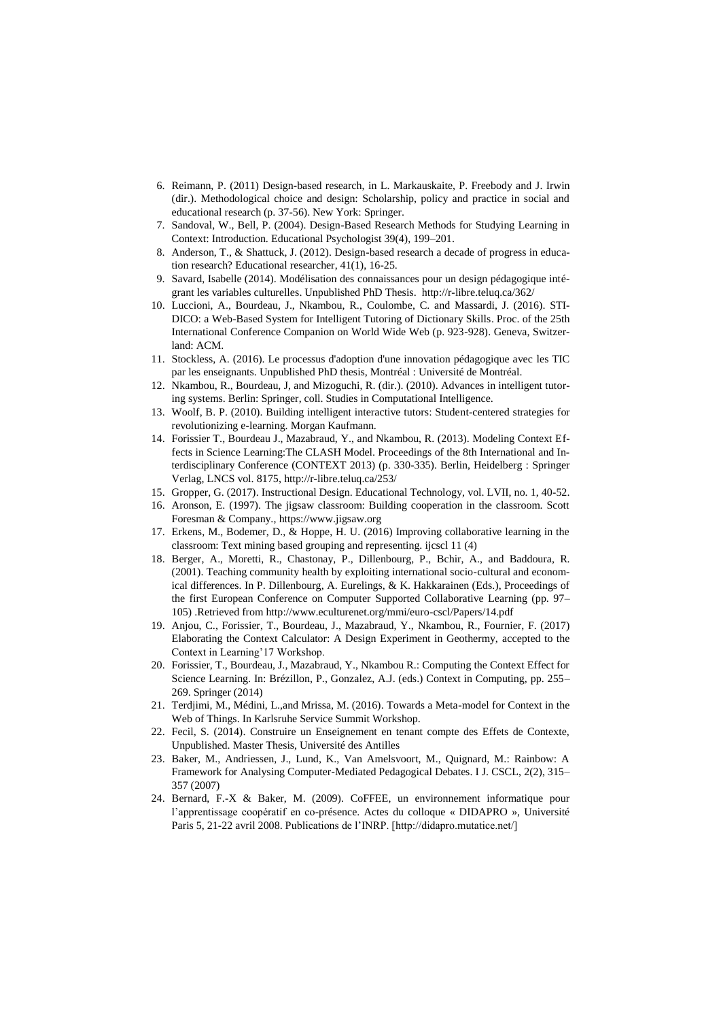- 6. Reimann, P. (2011) Design-based research, in L. Markauskaite, P. Freebody and J. Irwin (dir.). Methodological choice and design: Scholarship, policy and practice in social and educational research (p. 37-56). New York: Springer.
- 7. Sandoval, W., Bell, P. (2004). Design-Based Research Methods for Studying Learning in Context: Introduction. Educational Psychologist 39(4), 199–201.
- 8. Anderson, T., & Shattuck, J. (2012). Design-based research a decade of progress in education research? Educational researcher, 41(1), 16-25.
- 9. Savard, Isabelle (2014). Modélisation des connaissances pour un design pédagogique intégrant les variables culturelles. Unpublished PhD Thesis. http://r-libre.teluq.ca/362/
- 10. Luccioni, A., Bourdeau, J., Nkambou, R., Coulombe, C. and Massardi, J. (2016). [STI-](http://r-libre.teluq.ca/984/)[DICO: a Web-Based System for Intelligent Tutoring of Dictionary Skills.](http://r-libre.teluq.ca/984/) Proc. of the 25th International Conference Companion on World Wide Web (p. 923-928). Geneva, Switzerland: ACM.
- 11. Stockless, A. (2016). Le processus d'adoption d'une innovation pédagogique avec les TIC par les enseignants. Unpublished PhD thesis, Montréal : Université de Montréal.
- 12. Nkambou, R., Bourdeau, J, and Mizoguchi, R. (dir.). (2010). Advances in intelligent tutoring systems. Berlin: Springer, coll. Studies in Computational Intelligence.
- 13. Woolf, B. P. (2010). Building intelligent interactive tutors: Student-centered strategies for revolutionizing e-learning. Morgan Kaufmann.
- 14. Forissier T., Bourdeau J., Mazabraud, Y., and Nkambou, R. (2013). Modeling Context Effects in Science Learning:The CLASH Model. Proceedings of the 8th International and Interdisciplinary Conference (CONTEXT 2013) (p. 330-335). Berlin, Heidelberg : Springer Verlag, LNCS vol. 8175, http://r-libre.teluq.ca/253/
- 15. Gropper, G. (2017). Instructional Design. Educational Technology, vol. LVII, no. 1, 40-52.
- 16. Aronson, E. (1997). The jigsaw classroom: Building cooperation in the classroom. Scott Foresman & Company.[, https://www.jigsaw.org](https://www.jigsaw.org/)
- 17. Erkens, M., Bodemer, D., & Hoppe, H. U. (2016) Improving collaborative learning in the classroom: Text mining based grouping and representing. ijcscl 11 (4)
- 18. Berger, A., Moretti, R., Chastonay, P., Dillenbourg, P., Bchir, A., and Baddoura, R. (2001). Teaching community health by exploiting international socio-cultural and economical differences. In P. Dillenbourg, A. Eurelings, & K. Hakkarainen (Eds.), Proceedings of the first European Conference on Computer Supported Collaborative Learning (pp. 97– 105) .Retrieved from<http://www.eculturenet.org/mmi/euro-cscl/Papers/14.pdf>
- 19. Anjou, C., Forissier, T., Bourdeau, J., Mazabraud, Y., Nkambou, R., Fournier, F. (2017) Elaborating the Context Calculator: A Design Experiment in Geothermy, accepted to the Context in Learning'17 Workshop.
- 20. Forissier, T., Bourdeau, J., Mazabraud, Y., Nkambou R.: Computing the Context Effect for Science Learning. In: Brézillon, P., Gonzalez, A.J. (eds.) Context in Computing, pp. 255– 269. Springer (2014)
- 21. Terdjimi, M., Médini, L.,and Mrissa, M. (2016). Towards a Meta-model for Context in the Web of Things. In Karlsruhe Service Summit Workshop.
- 22. Fecil, S. (2014). Construire un Enseignement en tenant compte des Effets de Contexte, Unpublished. Master Thesis, Université des Antilles
- 23. Baker, M., Andriessen, J., Lund, K., Van Amelsvoort, M., Quignard, M.: Rainbow: A Framework for Analysing Computer-Mediated Pedagogical Debates. I J. CSCL, 2(2), 315– 357 (2007)
- 24. Bernard, F.-X & Baker, M. (2009). CoFFEE, un environnement informatique pour l'apprentissage coopératif en co-présence. Actes du colloque « DIDAPRO », Université Paris 5, 21-22 avril 2008. Publications de l'INRP. [http://didapro.mutatice.net/]